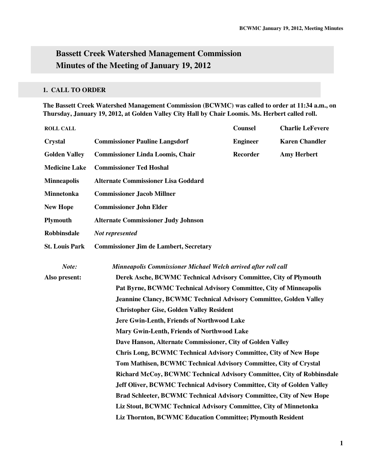# **Bassett Creek Watershed Management Commission Minutes of the Meeting of January 19, 2012**

# **1. CALL TO ORDER**

**The Bassett Creek Watershed Management Commission (BCWMC) was called to order at 11:34 a.m., on Thursday, January 19, 2012, at Golden Valley City Hall by Chair Loomis. Ms. Herbert called roll.** 

| <b>ROLL CALL</b>                                           |                                                                                               | <b>Counsel</b>  | <b>Charlie LeFevere</b> |  |
|------------------------------------------------------------|-----------------------------------------------------------------------------------------------|-----------------|-------------------------|--|
| <b>Crystal</b>                                             | <b>Commissioner Pauline Langsdorf</b>                                                         | <b>Engineer</b> | <b>Karen Chandler</b>   |  |
| <b>Golden Valley</b>                                       | <b>Commissioner Linda Loomis, Chair</b>                                                       | <b>Recorder</b> | <b>Amy Herbert</b>      |  |
| <b>Medicine Lake</b>                                       | <b>Commissioner Ted Hoshal</b>                                                                |                 |                         |  |
| <b>Minneapolis</b>                                         | <b>Alternate Commissioner Lisa Goddard</b>                                                    |                 |                         |  |
| <b>Minnetonka</b>                                          | <b>Commissioner Jacob Millner</b>                                                             |                 |                         |  |
| <b>New Hope</b>                                            | <b>Commissioner John Elder</b>                                                                |                 |                         |  |
| <b>Plymouth</b>                                            | <b>Alternate Commissioner Judy Johnson</b>                                                    |                 |                         |  |
| <b>Robbinsdale</b>                                         | Not represented                                                                               |                 |                         |  |
| <b>St. Louis Park</b>                                      | <b>Commissioner Jim de Lambert, Secretary</b>                                                 |                 |                         |  |
| Note:                                                      | Minneapolis Commissioner Michael Welch arrived after roll call                                |                 |                         |  |
| Also present:                                              | Derek Asche, BCWMC Technical Advisory Committee, City of Plymouth                             |                 |                         |  |
|                                                            | Pat Byrne, BCWMC Technical Advisory Committee, City of Minneapolis                            |                 |                         |  |
|                                                            | <b>Jeannine Clancy, BCWMC Technical Advisory Committee, Golden Valley</b>                     |                 |                         |  |
|                                                            | <b>Christopher Gise, Golden Valley Resident</b><br>Jere Gwin-Lenth, Friends of Northwood Lake |                 |                         |  |
|                                                            |                                                                                               |                 |                         |  |
|                                                            | Mary Gwin-Lenth, Friends of Northwood Lake                                                    |                 |                         |  |
| Dave Hanson, Alternate Commissioner, City of Golden Valley |                                                                                               |                 |                         |  |
|                                                            | <b>Chris Long, BCWMC Technical Advisory Committee, City of New Hope</b>                       |                 |                         |  |
|                                                            | Tom Mathisen, BCWMC Technical Advisory Committee, City of Crystal                             |                 |                         |  |
|                                                            | Richard McCoy, BCWMC Technical Advisory Committee, City of Robbinsdale                        |                 |                         |  |
|                                                            | Jeff Oliver, BCWMC Technical Advisory Committee, City of Golden Valley                        |                 |                         |  |
|                                                            | Brad Schleeter, BCWMC Technical Advisory Committee, City of New Hope                          |                 |                         |  |
|                                                            | Liz Stout, BCWMC Technical Advisory Committee, City of Minnetonka                             |                 |                         |  |
|                                                            | Liz Thornton, BCWMC Education Committee; Plymouth Resident                                    |                 |                         |  |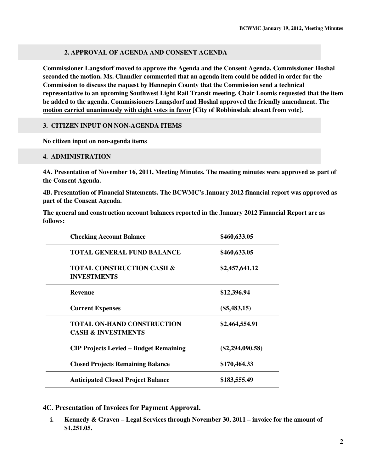# **2. APPROVAL OF AGENDA AND CONSENT AGENDA**

**Commissioner Langsdorf moved to approve the Agenda and the Consent Agenda. Commissioner Hoshal seconded the motion. Ms. Chandler commented that an agenda item could be added in order for the Commission to discuss the request by Hennepin County that the Commission send a technical representative to an upcoming Southwest Light Rail Transit meeting. Chair Loomis requested that the item be added to the agenda. Commissioners Langsdorf and Hoshal approved the friendly amendment. The motion carried unanimously with eight votes in favor [City of Robbinsdale absent from vote].** 

# **3. CITIZEN INPUT ON NON-AGENDA ITEMS**

**No citizen input on non-agenda items** 

# **4. ADMINISTRATION**

**4A. Presentation of November 16, 2011, Meeting Minutes. The meeting minutes were approved as part of the Consent Agenda.** 

**4B. Presentation of Financial Statements. The BCWMC's January 2012 financial report was approved as part of the Consent Agenda.** 

**The general and construction account balances reported in the January 2012 Financial Report are as follows:** 

| <b>Checking Account Balance</b>                                    | \$460,633.05       |
|--------------------------------------------------------------------|--------------------|
| <b>TOTAL GENERAL FUND BALANCE</b>                                  | \$460,633.05       |
| <b>TOTAL CONSTRUCTION CASH &amp;</b><br><b>INVESTMENTS</b>         | \$2,457,641.12     |
| <b>Revenue</b>                                                     | \$12,396.94        |
| <b>Current Expenses</b>                                            | $(\$5,483.15)$     |
| <b>TOTAL ON-HAND CONSTRUCTION</b><br><b>CASH &amp; INVESTMENTS</b> | \$2,464,554.91     |
| <b>CIP Projects Levied - Budget Remaining</b>                      | $(\$2,294,090.58)$ |
| <b>Closed Projects Remaining Balance</b>                           | \$170,464.33       |
| <b>Anticipated Closed Project Balance</b>                          | \$183,555.49       |

**4C. Presentation of Invoices for Payment Approval.** 

**i. Kennedy & Graven – Legal Services through November 30, 2011 – invoice for the amount of \$1,251.05.**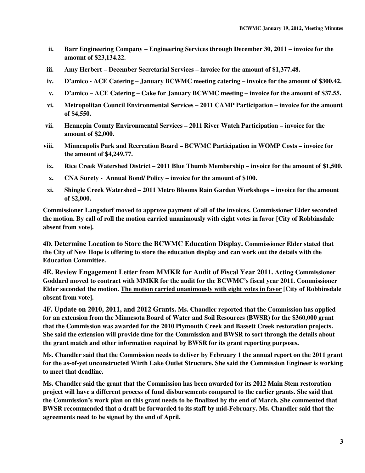- **ii. Barr Engineering Company Engineering Services through December 30, 2011 invoice for the amount of \$23,134.22.**
- **iii. Amy Herbert December Secretarial Services invoice for the amount of \$1,377.48.**
- **iv. D'amico ACE Catering January BCWMC meeting catering invoice for the amount of \$300.42.**
- **v. D'amico ACE Catering Cake for January BCWMC meeting invoice for the amount of \$37.55.**
- **vi. Metropolitan Council Environmental Services 2011 CAMP Participation invoice for the amount of \$4,550.**
- **vii. Hennepin County Environmental Services 2011 River Watch Participation invoice for the amount of \$2,000.**
- **viii. Minneapolis Park and Recreation Board BCWMC Participation in WOMP Costs invoice for the amount of \$4,249.77.**
- **ix. Rice Creek Watershed District 2011 Blue Thumb Membership invoice for the amount of \$1,500.**
- **x. CNA Surety Annual Bond/ Policy invoice for the amount of \$100.**
- **xi. Shingle Creek Watershed 2011 Metro Blooms Rain Garden Workshops invoice for the amount of \$2,000.**

**Commissioner Langsdorf moved to approve payment of all of the invoices. Commissioner Elder seconded the motion. By call of roll the motion carried unanimously with eight votes in favor [City of Robbinsdale absent from vote].** 

**4D. Determine Location to Store the BCWMC Education Display. Commissioner Elder stated that the City of New Hope is offering to store the education display and can work out the details with the Education Committee.**

**4E. Review Engagement Letter from MMKR for Audit of Fiscal Year 2011. Acting Commissioner Goddard moved to contract with MMKR for the audit for the BCWMC's fiscal year 2011. Commissioner Elder seconded the motion. The motion carried unanimously with eight votes in favor [City of Robbinsdale absent from vote].**

**4F. Update on 2010, 2011, and 2012 Grants. Ms. Chandler reported that the Commission has applied for an extension from the Minnesota Board of Water and Soil Resources (BWSR) for the \$360,000 grant that the Commission was awarded for the 2010 Plymouth Creek and Bassett Creek restoration projects. She said the extension will provide time for the Commission and BWSR to sort through the details about the grant match and other information required by BWSR for its grant reporting purposes.**

**Ms. Chandler said that the Commission needs to deliver by February 1 the annual report on the 2011 grant for the as-of-yet unconstructed Wirth Lake Outlet Structure. She said the Commission Engineer is working to meet that deadline.** 

**Ms. Chandler said the grant that the Commission has been awarded for its 2012 Main Stem restoration project will have a different process of fund disbursements compared to the earlier grants. She said that the Commission's work plan on this grant needs to be finalized by the end of March. She commented that BWSR recommended that a draft be forwarded to its staff by mid-February. Ms. Chandler said that the agreements need to be signed by the end of April.**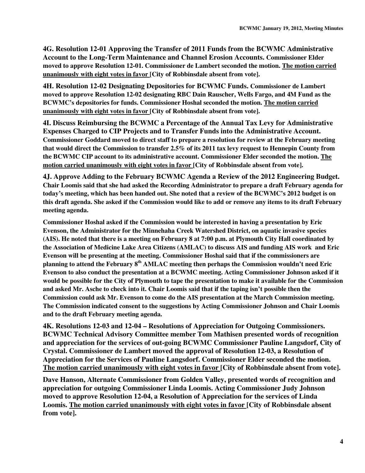**4G. Resolution 12-01 Approving the Transfer of 2011 Funds from the BCWMC Administrative Account to the Long-Term Maintenance and Channel Erosion Accounts. Commissioner Elder moved to approve Resolution 12-01. Commissioner de Lambert seconded the motion. The motion carried unanimously with eight votes in favor [City of Robbinsdale absent from vote].**

**4H. Resolution 12-02 Designating Depositories for BCWMC Funds. Commissioner de Lambert moved to approve Resolution 12-02 designating RBC Dain Rauscher, Wells Fargo, and 4M Fund as the BCWMC's depositories for funds. Commissioner Hoshal seconded the motion. The motion carried unanimously with eight votes in favor [City of Robbinsdale absent from vote].**

**4I. Discuss Reimbursing the BCWMC a Percentage of the Annual Tax Levy for Administrative Expenses Charged to CIP Projects and to Transfer Funds into the Administrative Account. Commissioner Goddard moved to direct staff to prepare a resolution for review at the February meeting that would direct the Commission to transfer 2.5% of its 2011 tax levy request to Hennepin County from the BCWMC CIP account to its administrative account. Commissioner Elder seconded the motion. The motion carried unanimously with eight votes in favor [City of Robbinsdale absent from vote].**

**4J. Approve Adding to the February BCWMC Agenda a Review of the 2012 Engineering Budget. Chair Loomis said that she had asked the Recording Administrator to prepare a draft February agenda for today's meeting, which has been handed out. She noted that a review of the BCWMC's 2012 budget is on this draft agenda. She asked if the Commission would like to add or remove any items to its draft February meeting agenda.** 

**Commissioner Hoshal asked if the Commission would be interested in having a presentation by Eric Evenson, the Administrator for the Minnehaha Creek Watershed District, on aquatic invasive species (AIS). He noted that there is a meeting on February 8 at 7:00 p.m. at Plymouth City Hall coordinated by the Association of Medicine Lake Area Citizens (AMLAC) to discuss AIS and funding AIS work and Eric Evenson will be presenting at the meeting. Commissioner Hoshal said that if the commissioners are planning to attend the February 8th AMLAC meeting then perhaps the Commission wouldn't need Eric Evenson to also conduct the presentation at a BCWMC meeting. Acting Commissioner Johnson asked if it would be possible for the City of Plymouth to tape the presentation to make it available for the Commission and asked Mr. Asche to check into it. Chair Loomis said that if the taping isn't possible then the Commission could ask Mr. Evenson to come do the AIS presentation at the March Commission meeting. The Commission indicated consent to the suggestions by Acting Commissioner Johnson and Chair Loomis and to the draft February meeting agenda.**

**4K. Resolutions 12-03 and 12-04 – Resolutions of Appreciation for Outgoing Commissioners. BCWMC Technical Advisory Committee member Tom Mathisen presented words of recognition and appreciation for the services of out-going BCWMC Commissioner Pauline Langsdorf, City of Crystal. Commissioner de Lambert moved the approval of Resolution 12-03, a Resolution of Appreciation for the Services of Pauline Langsdorf. Commissioner Elder seconded the motion. The motion carried unanimously with eight votes in favor [City of Robbinsdale absent from vote].** 

**Dave Hanson, Alternate Commissioner from Golden Valley, presented words of recognition and appreciation for outgoing Commissioner Linda Loomis. Acting Commissioner Judy Johnson moved to approve Resolution 12-04, a Resolution of Appreciation for the services of Linda Loomis. The motion carried unanimously with eight votes in favor [City of Robbinsdale absent from vote].**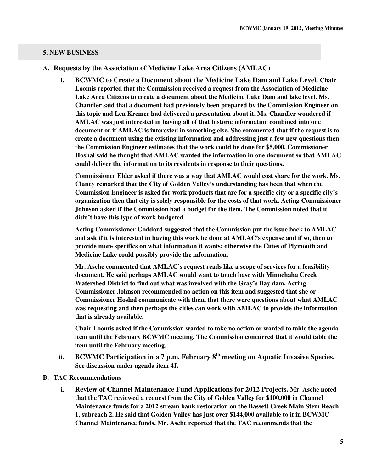#### **5. NEW BUSINESS**

- **A. Requests by the Association of Medicine Lake Area Citizens (AMLAC)**
	- **i. BCWMC to Create a Document about the Medicine Lake Dam and Lake Level. Chair Loomis reported that the Commission received a request from the Association of Medicine Lake Area Citizens to create a document about the Medicine Lake Dam and lake level. Ms. Chandler said that a document had previously been prepared by the Commission Engineer on this topic and Len Kremer had delivered a presentation about it. Ms. Chandler wondered if AMLAC was just interested in having all of that historic information combined into one document or if AMLAC is interested in something else. She commented that if the request is to create a document using the existing information and addressing just a few new questions then the Commission Engineer estimates that the work could be done for \$5,000. Commissioner Hoshal said he thought that AMLAC wanted the information in one document so that AMLAC could deliver the information to its residents in response to their questions.**

**Commissioner Elder asked if there was a way that AMLAC would cost share for the work. Ms. Clancy remarked that the City of Golden Valley's understanding has been that when the Commission Engineer is asked for work products that are for a specific city or a specific city's organization then that city is solely responsible for the costs of that work. Acting Commissioner Johnson asked if the Commission had a budget for the item. The Commission noted that it didn't have this type of work budgeted.** 

**Acting Commissioner Goddard suggested that the Commission put the issue back to AMLAC and ask if it is interested in having this work be done at AMLAC's expense and if so, then to provide more specifics on what information it wants; otherwise the Cities of Plymouth and Medicine Lake could possibly provide the information.** 

**Mr. Asche commented that AMLAC's request reads like a scope of services for a feasibility document. He said perhaps AMLAC would want to touch base with Minnehaha Creek Watershed District to find out what was involved with the Gray's Bay dam. Acting Commissioner Johnson recommended no action on this item and suggested that she or Commissioner Hoshal communicate with them that there were questions about what AMLAC was requesting and then perhaps the cities can work with AMLAC to provide the information that is already available.** 

**Chair Loomis asked if the Commission wanted to take no action or wanted to table the agenda item until the February BCWMC meeting. The Commission concurred that it would table the item until the February meeting.** 

- **ii. BCWMC Participation in a 7 p.m. February 8th meeting on Aquatic Invasive Species. See discussion under agenda item 4J.**
- **B. TAC Recommendations** 
	- **i. Review of Channel Maintenance Fund Applications for 2012 Projects. Mr. Asche noted that the TAC reviewed a request from the City of Golden Valley for \$100,000 in Channel Maintenance funds for a 2012 stream bank restoration on the Bassett Creek Main Stem Reach 1, subreach 2. He said that Golden Valley has just over \$144,000 available to it in BCWMC Channel Maintenance funds. Mr. Asche reported that the TAC recommends that the**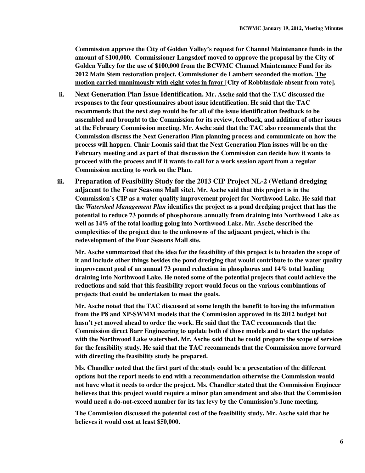**Commission approve the City of Golden Valley's request for Channel Maintenance funds in the amount of \$100,000. Commissioner Langsdorf moved to approve the proposal by the City of Golden Valley for the use of \$100,000 from the BCWMC Channel Maintenance Fund for its 2012 Main Stem restoration project. Commissioner de Lambert seconded the motion. The motion carried unanimously with eight votes in favor [City of Robbinsdale absent from vote].** 

- **ii. Next Generation Plan Issue Identification. Mr. Asche said that the TAC discussed the responses to the four questionnaires about issue identification. He said that the TAC recommends that the next step would be for all of the issue identification feedback to be assembled and brought to the Commission for its review, feedback, and addition of other issues at the February Commission meeting. Mr. Asche said that the TAC also recommends that the Commission discuss the Next Generation Plan planning process and communicate on how the process will happen. Chair Loomis said that the Next Generation Plan issues will be on the February meeting and as part of that discussion the Commission can decide how it wants to proceed with the process and if it wants to call for a work session apart from a regular Commission meeting to work on the Plan.**
- **iii. Preparation of Feasibility Study for the 2013 CIP Project NL-2 (Wetland dredging adjacent to the Four Seasons Mall site). Mr. Asche said that this project is in the Commission's CIP as a water quality improvement project for Northwood Lake. He said that the** *Watershed Management Plan* **identifies the project as a pond dredging project that has the potential to reduce 73 pounds of phosphorous annually from draining into Northwood Lake as well as 14% of the total loading going into Northwood Lake. Mr. Asche described the complexities of the project due to the unknowns of the adjacent project, which is the redevelopment of the Four Seasons Mall site.**

**Mr. Asche summarized that the idea for the feasibility of this project is to broaden the scope of it and include other things besides the pond dredging that would contribute to the water quality improvement goal of an annual 73 pound reduction in phosphorus and 14% total loading draining into Northwood Lake. He noted some of the potential projects that could achieve the reductions and said that this feasibility report would focus on the various combinations of projects that could be undertaken to meet the goals.** 

**Mr. Asche noted that the TAC discussed at some length the benefit to having the information from the P8 and XP-SWMM models that the Commission approved in its 2012 budget but hasn't yet moved ahead to order the work. He said that the TAC recommends that the Commission direct Barr Engineering to update both of those models and to start the updates with the Northwood Lake watershed. Mr. Asche said that he could prepare the scope of services for the feasibility study. He said that the TAC recommends that the Commission move forward with directing the feasibility study be prepared.** 

**Ms. Chandler noted that the first part of the study could be a presentation of the different options but the report needs to end with a recommendation otherwise the Commission would not have what it needs to order the project. Ms. Chandler stated that the Commission Engineer believes that this project would require a minor plan amendment and also that the Commission would need a do-not-exceed number for its tax levy by the Commission's June meeting.** 

**The Commission discussed the potential cost of the feasibility study. Mr. Asche said that he believes it would cost at least \$50,000.**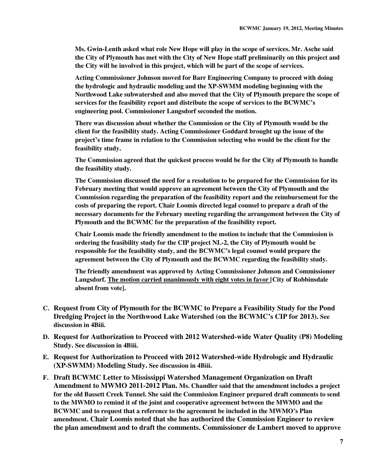**Ms. Gwin-Lenth asked what role New Hope will play in the scope of services. Mr. Asche said the City of Plymouth has met with the City of New Hope staff preliminarily on this project and the City will be involved in this project, which will be part of the scope of services.** 

**Acting Commissioner Johnson moved for Barr Engineering Company to proceed with doing the hydrologic and hydraulic modeling and the XP-SWMM modeling beginning with the Northwood Lake subwatershed and also moved that the City of Plymouth prepare the scope of services for the feasibility report and distribute the scope of services to the BCWMC's engineering pool. Commissioner Langsdorf seconded the motion.** 

**There was discussion about whether the Commission or the City of Plymouth would be the client for the feasibility study. Acting Commissioner Goddard brought up the issue of the project's time frame in relation to the Commission selecting who would be the client for the feasibility study.** 

**The Commission agreed that the quickest process would be for the City of Plymouth to handle the feasibility study.** 

**The Commission discussed the need for a resolution to be prepared for the Commission for its February meeting that would approve an agreement between the City of Plymouth and the Commission regarding the preparation of the feasibility report and the reimbursement for the costs of preparing the report. Chair Loomis directed legal counsel to prepare a draft of the necessary documents for the February meeting regarding the arrangement between the City of Plymouth and the BCWMC for the preparation of the feasibility report.** 

**Chair Loomis made the friendly amendment to the motion to include that the Commission is ordering the feasibility study for the CIP project NL-2, the City of Plymouth would be responsible for the feasibility study, and the BCWMC's legal counsel would prepare the agreement between the City of Plymouth and the BCWMC regarding the feasibility study.** 

**The friendly amendment was approved by Acting Commissioner Johnson and Commissioner Langsdorf. The motion carried unanimously with eight votes in favor [City of Robbinsdale absent from vote].** 

- **C. Request from City of Plymouth for the BCWMC to Prepare a Feasibility Study for the Pond Dredging Project in the Northwood Lake Watershed (on the BCWMC's CIP for 2013). See discussion in 4Biii.**
- **D. Request for Authorization to Proceed with 2012 Watershed-wide Water Quality (P8) Modeling Study. See discussion in 4Biii.**
- **E. Request for Authorization to Proceed with 2012 Watershed-wide Hydrologic and Hydraulic (XP-SWMM) Modeling Study. See discussion in 4Biii.**
- **F. Draft BCWMC Letter to Mississippi Watershed Management Organization on Draft Amendment to MWMO 2011-2012 Plan. Ms. Chandler said that the amendment includes a project for the old Bassett Creek Tunnel. She said the Commission Engineer prepared draft comments to send to the MWMO to remind it of the joint and cooperative agreement between the MWMO and the BCWMC and to request that a reference to the agreement be included in the MWMO's Plan amendment. Chair Loomis noted that she has authorized the Commission Engineer to review the plan amendment and to draft the comments. Commissioner de Lambert moved to approve**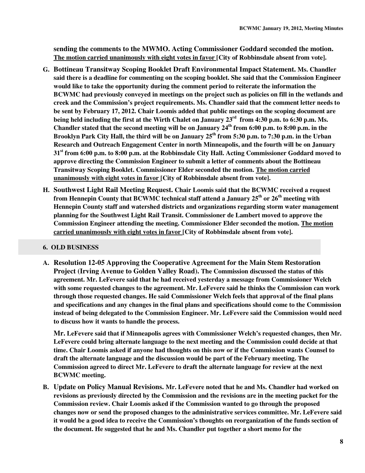**sending the comments to the MWMO. Acting Commissioner Goddard seconded the motion. The motion carried unanimously with eight votes in favor [City of Robbinsdale absent from vote].** 

- **G. Bottineau Transitway Scoping Booklet Draft Environmental Impact Statement. Ms. Chandler said there is a deadline for commenting on the scoping booklet. She said that the Commission Engineer would like to take the opportunity during the comment period to reiterate the information the BCWMC had previously conveyed in meetings on the project such as policies on fill in the wetlands and creek and the Commission's project requirements. Ms. Chandler said that the comment letter needs to be sent by February 17, 2012. Chair Loomis added that public meetings on the scoping document are being held including the first at the Wirth Chalet on January 23rd from 4:30 p.m. to 6:30 p.m. Ms. Chandler stated that the second meeting will be on January 24th from 6:00 p.m. to 8:00 p.m. in the Brooklyn Park City Hall, the third will be on January 25th from 5:30 p.m. to 7:30 p.m. in the Urban Research and Outreach Engagement Center in north Minneapolis, and the fourth will be on January 31st from 6:00 p.m. to 8:00 p.m. at the Robbinsdale City Hall. Acting Commissioner Goddard moved to approve directing the Commission Engineer to submit a letter of comments about the Bottineau Transitway Scoping Booklet. Commissioner Elder seconded the motion. The motion carried unanimously with eight votes in favor [City of Robbinsdale absent from vote].**
- **H. Southwest Light Rail Meeting Request. Chair Loomis said that the BCWMC received a request from Hennepin County that BCWMC technical staff attend a January 25th or 26th meeting with Hennepin County staff and watershed districts and organizations regarding storm water management planning for the Southwest Light Rail Transit. Commissioner de Lambert moved to approve the Commission Engineer attending the meeting. Commissioner Elder seconded the motion. The motion carried unanimously with eight votes in favor [City of Robbinsdale absent from vote].**

# **6. OLD BUSINESS**

**A. Resolution 12-05 Approving the Cooperative Agreement for the Main Stem Restoration Project (Irving Avenue to Golden Valley Road). The Commission discussed the status of this agreement. Mr. LeFevere said that he had received yesterday a message from Commissioner Welch with some requested changes to the agreement. Mr. LeFevere said he thinks the Commission can work through those requested changes. He said Commissioner Welch feels that approval of the final plans and specifications and any changes in the final plans and specifications should come to the Commission instead of being delegated to the Commission Engineer. Mr. LeFevere said the Commission would need to discuss how it wants to handle the process.** 

**Mr. LeFevere said that if Minneapolis agrees with Commissioner Welch's requested changes, then Mr. LeFevere could bring alternate language to the next meeting and the Commission could decide at that time. Chair Loomis asked if anyone had thoughts on this now or if the Commission wants Counsel to draft the alternate language and the discussion would be part of the February meeting. The Commission agreed to direct Mr. LeFevere to draft the alternate language for review at the next BCWMC meeting.** 

**B. Update on Policy Manual Revisions. Mr. LeFevere noted that he and Ms. Chandler had worked on revisions as previously directed by the Commission and the revisions are in the meeting packet for the Commission review. Chair Loomis asked if the Commission wanted to go through the proposed changes now or send the proposed changes to the administrative services committee. Mr. LeFevere said it would be a good idea to receive the Commission's thoughts on reorganization of the funds section of the document. He suggested that he and Ms. Chandler put together a short memo for the**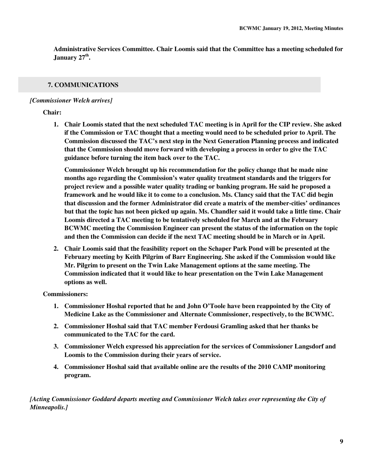**Administrative Services Committee. Chair Loomis said that the Committee has a meeting scheduled for January 27th .** 

# **7. COMMUNICATIONS**

#### *[Commissioner Welch arrives]*

#### **Chair:**

**1. Chair Loomis stated that the next scheduled TAC meeting is in April for the CIP review. She asked if the Commission or TAC thought that a meeting would need to be scheduled prior to April. The Commission discussed the TAC's next step in the Next Generation Planning process and indicated that the Commission should move forward with developing a process in order to give the TAC guidance before turning the item back over to the TAC.** 

**Commissioner Welch brought up his recommendation for the policy change that he made nine months ago regarding the Commission's water quality treatment standards and the triggers for project review and a possible water quality trading or banking program. He said he proposed a framework and he would like it to come to a conclusion. Ms. Clancy said that the TAC did begin that discussion and the former Administrator did create a matrix of the member-cities' ordinances but that the topic has not been picked up again. Ms. Chandler said it would take a little time. Chair Loomis directed a TAC meeting to be tentatively scheduled for March and at the February BCWMC meeting the Commission Engineer can present the status of the information on the topic and then the Commission can decide if the next TAC meeting should be in March or in April.** 

**2. Chair Loomis said that the feasibility report on the Schaper Park Pond will be presented at the February meeting by Keith Pilgrim of Barr Engineering. She asked if the Commission would like Mr. Pilgrim to present on the Twin Lake Management options at the same meeting. The Commission indicated that it would like to hear presentation on the Twin Lake Management options as well.** 

#### **Commissioners:**

- **1. Commissioner Hoshal reported that he and John O'Toole have been reappointed by the City of Medicine Lake as the Commissioner and Alternate Commissioner, respectively, to the BCWMC.**
- **2. Commissioner Hoshal said that TAC member Ferdousi Gramling asked that her thanks be communicated to the TAC for the card.**
- **3. Commissioner Welch expressed his appreciation for the services of Commissioner Langsdorf and Loomis to the Commission during their years of service.**
- **4. Commissioner Hoshal said that available online are the results of the 2010 CAMP monitoring program.**

*[Acting Commissioner Goddard departs meeting and Commissioner Welch takes over representing the City of Minneapolis.]*